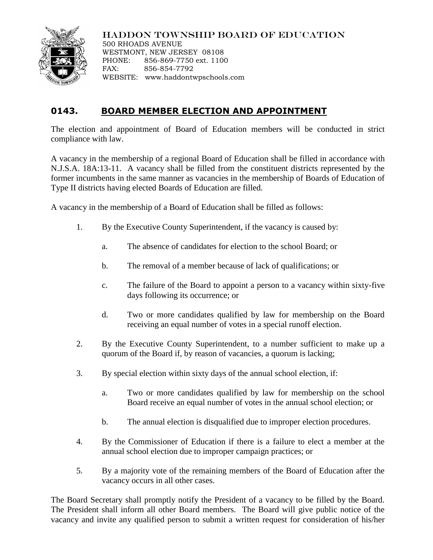

## HADDON TOWNSHIP BOARD OF EDUCATION

500 RHOADS AVENUE WESTMONT, NEW JERSEY 08108 PHONE: 856-869-7750 ext. 1100 FAX: 856-854-7792 WEBSITE: www.haddontwpschools.com

## **0143. BOARD MEMBER ELECTION AND APPOINTMENT**

The election and appointment of Board of Education members will be conducted in strict compliance with law.

A vacancy in the membership of a regional Board of Education shall be filled in accordance with N.J.S.A. 18A:13-11. A vacancy shall be filled from the constituent districts represented by the former incumbents in the same manner as vacancies in the membership of Boards of Education of Type II districts having elected Boards of Education are filled.

A vacancy in the membership of a Board of Education shall be filled as follows:

- 1. By the Executive County Superintendent, if the vacancy is caused by:
	- a. The absence of candidates for election to the school Board; or
	- b. The removal of a member because of lack of qualifications; or
	- c. The failure of the Board to appoint a person to a vacancy within sixty-five days following its occurrence; or
	- d. Two or more candidates qualified by law for membership on the Board receiving an equal number of votes in a special runoff election.
- 2. By the Executive County Superintendent, to a number sufficient to make up a quorum of the Board if, by reason of vacancies, a quorum is lacking;
- 3. By special election within sixty days of the annual school election, if:
	- a. Two or more candidates qualified by law for membership on the school Board receive an equal number of votes in the annual school election; or
	- b. The annual election is disqualified due to improper election procedures.
- 4. By the Commissioner of Education if there is a failure to elect a member at the annual school election due to improper campaign practices; or
- 5. By a majority vote of the remaining members of the Board of Education after the vacancy occurs in all other cases.

The Board Secretary shall promptly notify the President of a vacancy to be filled by the Board. The President shall inform all other Board members. The Board will give public notice of the vacancy and invite any qualified person to submit a written request for consideration of his/her